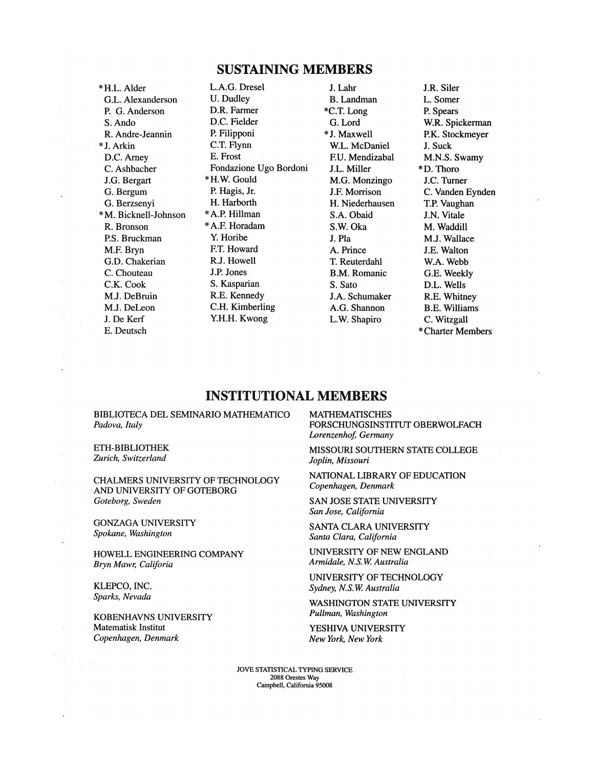## SUSTAINING MEMBERS

\*H.L. Alder G.L. Alexanderson P. G.Anderson S. Ando R. Andre-Jeannin \*J. Arkin D.C. Amey C. Ashbacher J.G. Bergart G. Bergum G. Berzsenyi \* M. Bicknell-Johnson R. Bronson RS. Bruckman M.F. Bryn *G.D.* Chakerian C. Chouteau C.K. Cook MJ. DeBruin M.J. DeLeon J. De Kerf E. Deutsch

L.A.G. Dresel U. Dudley D.R. Farmer D.C. Fielder P. Filipponi C.T. Flynn E. Frost Fondazione Ugo Bordoni \* H.W.Gould P. Hagis, Jr. H. Harborth \*A.P.Hillman \*A.F. Horadam Y. Horibe FT. Howard R.J. Howell J.P. Jones S. Kasparian R.E. Kennedy C.H. Kimberling Y.H.H. Kwong

J. Lahr B. Landman \*C.T. Long G. Lord \*J. Maxwell W.L. McDaniel F.U. Mendizabal J.L. Miller M.G. Monzingo J.F. Morrison H. Niederhausen S.A. Obaid S.W. Oka J. Pla A. Prince T. Reuterdahl B.M. Romanic S. Sato J.A. Schumaker A.G. Shannon L.W. Shapiro

J.R. Siler L. Somer P. Spears W.R. Spickerman P.K. Stockmeyer J. Suck M.N.S. Swamy \*D.Thoro J.C. Turner C. Vanden Eynden T.P. Vaughan J.N. Vitale M. Waddill M.J. Wallace J.E. Walton W.A. Webb G.E. Weekly D.L. Wells R.E. Whitney B.E. Williams C. Witzgall \* Charter Members

## INSTITUTIONAL MEMBERS

BIBLIOTECA DEL SEMINARIO MATHEMATICO *Padova, Italy* 

ETH-BIBLIOTHEK *Zurich, Switzerland* 

CHALMERS UNIVERSITY OF TECHNOLOGY AND UNIVERSITY OF GOTEBORG *Goteborg, Sweden* 

GONZAGA UNIVERSITY *Spokane, Washington* 

HOWELL ENGINEERING COMPANY *BrynMawr, Califoria* 

KLEPCO, INC. *Sparks, Nevada* 

KOBENHAVNS UNIVERSITY Matematisk Institut *Copenhagen, Denmark* 

MATHEMATISCHES FORSCHUNGSINSTITUT OBERWOLFACH *Lorenzenhof, Germany* 

MISSOURI SOUTHERN STATE COLLEGE *Joplin, Missouri* 

NATIONAL LIBRARY OF EDUCATION *Copenhagen, Denmark* 

SAN JOSE STATE UNIVERSITY *San Jose, California* 

SANTA CLARA UNIVERSITY *Santa Clara, California* 

UNIVERSITY OF NEW ENGLAND *Armidale, N.S.W. Australia* 

UNIVERSITY OF TECHNOLOGY *Sydney, N.S.W. Australia* 

WASHINGTON STATE UNIVERSITY *Pullman, Washington* 

YESHIVA UNIVERSITY *New York, New York* 

JOVE STATISTICAL TYPING SERVICE 2088 Orestes Way Campbell, California 95008